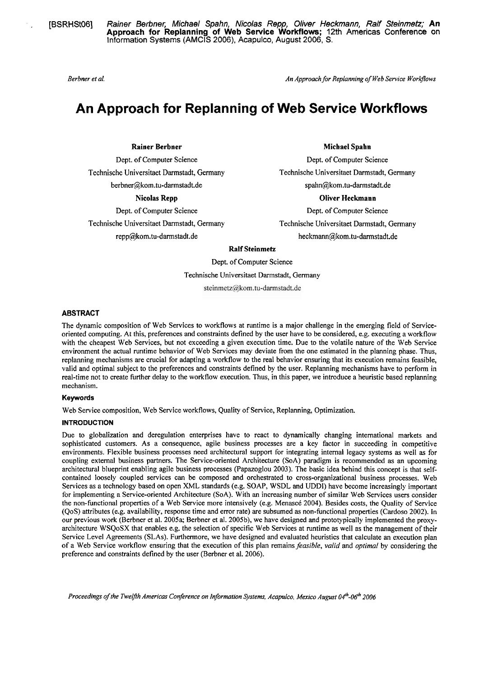. . [BSRHStOG] **Rainer** Berbner, **Michael Spahn, Nicolas Repp, Oliver Heckmann, Ralf Steinmetz; An Approach for Replanning of Web Service Workflows;** 12th Americas Conference on lnformation Systems (AMCIS 2006), Acapulco, August 2006, S.

*Berbner er al. An Approachfor Replanning of Web Service WoryIows* 

# **An Approach for Replanning of Web Service Workflows**

Technische Universitaet Darmstadt, Germany Technische Universitaet Darmstadt, Germany berbner@kom.tu-darmstadt.de spahn@kom.tu-darmstadt.de

**Michael Spahn** 

Dept. of Computer Science Dept. of Computer Science Dept. of Computer Science

# Nicolas Repp **Contract Contract Contract Contract Contract Contract Contract Contract Contract Contract Contract Contract Contract Contract Contract Contract Contract Contract Contract Contract Contract Contract Contract C**

Dept. of Computer Science Dept. of Computer Science Technische Universitaet Darmstadt, Germany Technische Universitaet Darmstadt, Germany repp@kom.tu-darmstadt.de **heckmann@kom.tu-darmstadt.de heckmann**@kom.tu-darmstadt.de

# **Ralf Steinmetz**

Dept. of Computer Science Technische Universitaet Darmstadt, Germany steinmetz@kom.tu-darmstadt.de

# **ABSTRACT**

The dynamic composition of Web Services to workflows at runtime is a major challenge in the emerging field of Serviceoriented computing. At this, preferences and constraints defined by the user have to be considered, e.g. executing a workflow with the cheapest Web Services, but not exceeding a given execution time. Due to the volatile nature of the Web Service environment the actual runtime behavior of Web Services may deviate from the one estimated in the planning phase. Thus, replanning mechanisms are crucial for adapting a workflow to the real behavior ensuring that its execution remains feasible, valid and optimal subject to the preferences and constraints defined by the user. Replanning mechanisms have to perform in real-time not to create further delay to the workflow execution. Thus, in this paper, we introduce a heuristic based replanning mechanism.

# Keywords

Web Service composition, Web Service workflows, Quality of Service, Repiaming, Optimization.

# **INTRODUCTION**

Due to globalization and deregulation enterprises have to react to dynarnically changing international markets and sophisticated customers. As a consequence, agile business processes are a key factor in succeeding in competitive environments. Flexible business processes need architectural support for integrating intemal legacy Systems as well as for coupling extemal business partners. The Service-oriented Architecture (SoA) paradigm is recommended as an upcoming architectural blueprint enabling agile business processes (Papazoglou 2003). The basic idea behind this concept is that selfcontained loosely coupled services can be composed and orchestrated to cross-organizational business processes. Web Services as a technology based on Open XML standards (e.g. SOAP, WSDL and UDDI) have become increasingly important for implementing a Service-oriented Architecture (SoA). With an increasing number of similar Web Services users consider the non-functional properties of a Web Service more intensively (e.g. Menascé 2004). Besides costs, the Quality of Service (QoS) attributes (e.g. availability, response time and error rate) are subsumed as non-functional properties (Cardoso 2002). In our previous work (Berbner et al. 2005a; Berbner et al. 2005b), we have designed and prototypically implemented the proxyarchitecture WSQoSX that enables e.g. the selection of specific Web Services at runtime as well as the management of their Service Level Agreements (SLAs). Furthermore, we have designed and evaluated heuristics that calculate an execution plan of a Web Service workflow ensuring that the execution of this plan remains feasible, valid and optimal by considering the preference and constraints defined by the user (Berbner et al. 2006).

*Proceedings of the Twelfth Americas Conference on Information Systems, Acapulco, Mexico August 04<sup>th</sup>-06<sup>th</sup> 2006*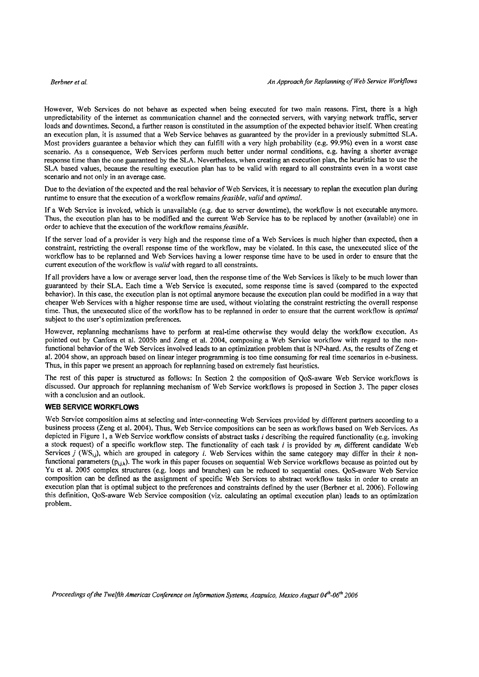However, Web Services do not behave as expected when being executed for two main reasons. First, there is a high unpredictability of the internet as communication channel and the connected servers, with varying network traffic, server loads and downtimes. Second, a further reason is constituted in the assumption of the expected behavior itself. When creating an execution plan, it is assumed that a Web Service behaves as guaranteed by the provider in a previously submitted SLA. Most providers guarantee a behavior which they can fulfill with a very high probability (e.g. 99.9%) even in a worst case scenario. As a consequence, Web Services perform much better under normal conditions, e.g. having a shorter average response time than the one guaranteed by the SLA. Nevertheless, when creating an execution plan, the heuristic has to use the SLA based values, because the resulting execution plan has to be valid with regard to all constraints even in a worst case scenario and not only in an average case.

Due **to** the deviation of the expected and the real behavior of Web Services, it is necessary to replan the execution plan during runtime to ensure that the execution of a workflow remains *feasible, valid* and *optimal.* 

If a Web Service is invoked, which is unavailable (e.g. due to server downtime), the workflow is not executable anymore. Thus, the execution plan has to be modified and the current Web Service has to be replaced by another (available) one in order to achieve that the execution of the workflow remains *feasible.* 

If the server load of a provider is very high and the response time of a Web Services is much higher than expected, then a constraint, restricting the overall response time of the workflow, may be violated. In this case, the unexecuted slice of the workflow has to be replanned and Web Services having a lower response time have to be used in order to ensure that the current execution of the workflow is *valid* with regard to all constraints.

If all providers have a low or average server load, then the response time of the Web Services is likely to be much lower than guaranteed by their SLA. Each time a Web Service is executed, some response time is saved (compared to the expected behavior). In this case, the execution plan is not optimal anymore because the execution plan could be modified in a way that cheaper Web Services with a higher response time are used, without violating the constraint restricting the overall response time. Thus, the unexecuted slice of the workflow has to be replanned in order to ensure that the current workflow is *optimal*  subject to the user's optimization preferences.

However, replanning mechanisms have to perform at real-time otherwise they would delay the workflow execution. As pointed out by Canfora et al. 2005b and Zeng et al. 2004, composing a Web Service workflow with regard to the nonfunctional behavior of the Web Services involved leads to an optimization problem that is NP-hard. As, the results of Zeng et al. 2004 show, an approach based on linear integer programming is too time consuming for real time scenarios in e-business. Thus, in this paper we present an approach for replanning based on extremely fast heuristics.

The rest of this paper is structured as follows: In Section 2 the composition of QoS-aware Web Service workflows is discussed. Our approach for replanning mechanism of Web Service workflows is proposed in Section **3.** The paper closes with a conclusion and an outlook.

# **WEB SERVICE WORKFLOWS**

Web Service composition aims at selecting and inter-connecting Web Services provided by different partners according to a business process (Zeng et al. 2004). Thus, Web Service compositions can be Seen as workflows based on Web Services. As depicted in Figure 1, a Web Service workflow consists of abstract tasks *i* describing the required functionality (e.g. invoking a stock request) of a specific workflow step. The functionality of each task *i* is provided by *mi* different candidate Web Services *j* (WS<sub>u</sub>), which are grouped in category *i*. Web Services within the same category may differ in their  $k$  nonfunctional parameters  $(p_{i,j,k})$ . The work in this paper focuses on sequential Web Service workflows because as pointed out by Yu et al. 2005 complex structures (e.g. loops and branches) can be reduced to sequential ones. QoS-aware Web Service composition can be defmed as the assignrnent of specific Web Services to abstract workflow tasks in order to create an execution plan that is optimal subject to the preferences and constraints defined by the user (Berbner et al. 2006). Following this definition, QoS-aware Web Service composition (viz. calculating an optimal execution plan) leads to an optimization problem.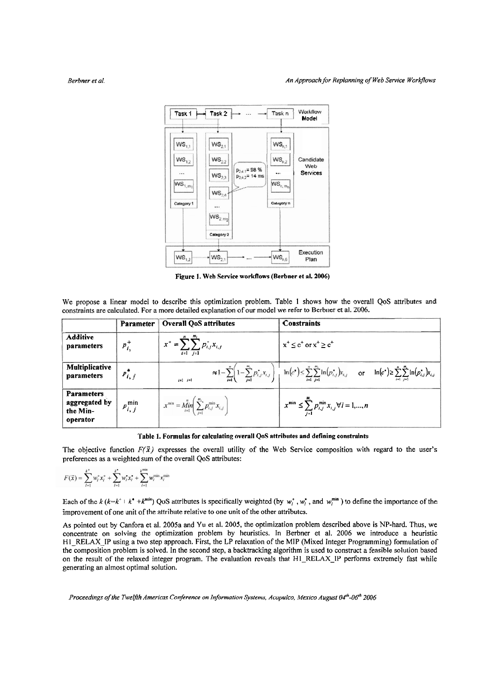

**Figure 1. Web Service workflows (Berbner et al. 2006)** 

We propose a linear model to describe this optimization problem. Table I shows how the overall QoS attributes and constraints are calculated. For a more detailed explanation of our model we refer to Berbner et al. 2006.

|                                                            | Parameter        | <b>Overall QoS attributes</b>                                                                   | <b>Constraints</b>                                                                                                                                                               |
|------------------------------------------------------------|------------------|-------------------------------------------------------------------------------------------------|----------------------------------------------------------------------------------------------------------------------------------------------------------------------------------|
| <b>Additive</b><br>parameters                              | $p_i^+$          | n<br>$x^+$<br>$\sum p_{i,j}^+ x_{i,j}$<br>$\mathcal{L} = \mathcal{L}$<br>$1 = 1$ $1 = 1$        | $x^+ \leq c^+$ or $x^+ \geq c^+$                                                                                                                                                 |
| Multiplicative<br>parameters                               | $P_{i,j}$        | $\approx 1 - \sum_{i=1}^{n} \left(1 - \sum_{j=1}^{m_i} p_{i,j}^2 x_{i,j}\right)$<br>$i=1$ $j=1$ | $\ln(c^{\bullet}) \leq \sum_{i=1}^{n} \sum_{i=1}^{m_i} \ln(p_{i,j}^{\bullet}) x_{i,j}$ or $\ln(c^{\bullet}) \geq \sum_{i=1}^{n} \sum_{j=1}^{m_i} \ln(p_{i,j}^{\bullet}) x_{i,j}$ |
| <b>Parameters</b><br>aggregated by<br>the Min-<br>operator | $p_{i,j}^{\min}$ | $x^{\min} = \stackrel{n}{\text{Min}} \left( \sum_{i=1}^{m_i} p_{i,j}^{\min} x_{i,j} \right)$    | $x^{\min} \leq \sum_{i=1}^{m_i} p_{i,j}^{\min} x_{i,j} \forall i = 1,,n$                                                                                                         |

**Table 1. Formulas for calculating overall QoS attributes and defining constraints** 

The objective function  $F(\bar{x})$  expresses the overall utility of the Web Service composition with regard to the user's preferences as a weighted sum of the overall QoS attributes:

$$
F(\vec{x}) = \sum_{l=1}^{k^+} w_l^+ x_l^+ + \sum_{l=1}^{k^-} w_l^+ x_l^+ + \sum_{l=1}^{k^{\min}} w_l^{\min} x_l^{\min}
$$

Each of the  $k (k=k^+ + k^* + k^{min})$  QoS attributes is specifically weighted (by  $w_i^*$ ,  $w_i^*$ , and  $w_i^{min}$ ) to define the importance of the improvement of one unit of the attribute relative to one unit of the other attributes.

As pointed out by Canfora et al. 2005a and Yu et al. 2005, the optimization problem described above **is** NP-hard. Thus, we concentrate on solving the optimization problem by heuristics. In Berbner et al. 2006 we introduce a heuristic H1-RELAX-IP using a two step approach. First, the LP relaxation of the MIP (Mixed Integer Programming) formulation of the composition problem is solved. In the second step, a backtracking algorithm is used to construct a feasible solution based on the result of the relaxed integer program. The evaluation reveals that H1\_RELAX\_IP performs extremely fast while generating an almost optimal solution.

*Proceedings of the TweIfth Americas Conference on Information Systems, Acapulco, Mexico August 04<sup>th</sup>-06<sup>th</sup> 2006*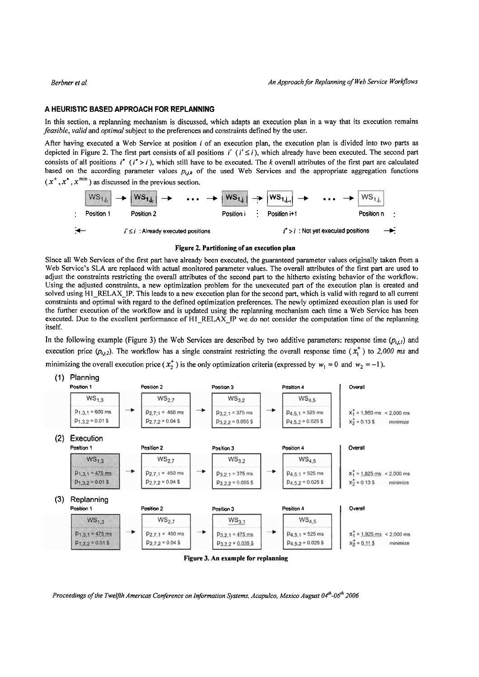# **A HEURlSTlC BASED APPROACH FOR REPLANNING**

In this section, a replanning mechanism is discussed, which adapts an execution plan in a way that its execution remains **feasible, valid** and *optimal* subject **to** the preferences and constraints defined by the user.

After having executed a Web Service at position  $i$  of an execution plan, the execution plan is divided into two parts as depicted in Figure 2. The first part consists of all positions  $i'$  ( $i' \le i$ ), which already have been executed. The second part consists of all positions  $i''$  ( $i'' > i$ ), which still have to be executed. The k overall attributes of the first part are calculated based on the according parameter values  $p_{i,j,k}$  of the used Web Services and the appropriate aggregation functions



### **Figure 2. Partitioning of an execution plan**

Since all Web Services of the first part have already been executed, the guaranteed parameter values originally taken from a Web Service's SLA are replaced with actual monitored parameter values. The overall attributes of the first part are used to adjust the constraints restricting the overall attributes of the second part to the hitherto existing behavior of the workflow. Using the adjusted constraints, a new optimization problem for the unexecuted part of the execution plan is created and solved using H<sub>1</sub>-RELAX-IP. This leads to a new execution plan for the second part, which is valid with regard to all current constraints and optimal with regard to the defined optimization preferences. The newly optimized execution plan is used for the further execution of the workflow and is updated using the replanning mechanism each time a Web Service has been executed. Due to the excellent performance of H1\_RELAX\_IP we do not consider the computation time of the replanning itself.

In the following example (Figure 3) the Web Services are described by two additive parameters: response time  $(p_{i,j})$  and execution price  $(p_{i,j,2})$ . The workflow has a single constraint restricting the overall response time  $(x_i^+)$  to 2,000 *ms* and minimizing the overall execution price  $(x_2^+)$  is the only optimization criteria (expressed by  $w_1 = 0$  and  $w_2 = -1$ ).



*Proceedings ofthe Twelfih Americas Confirence on In)ormation Systems, Acapulco, Mexico August* **04'~-06'~** *2006*